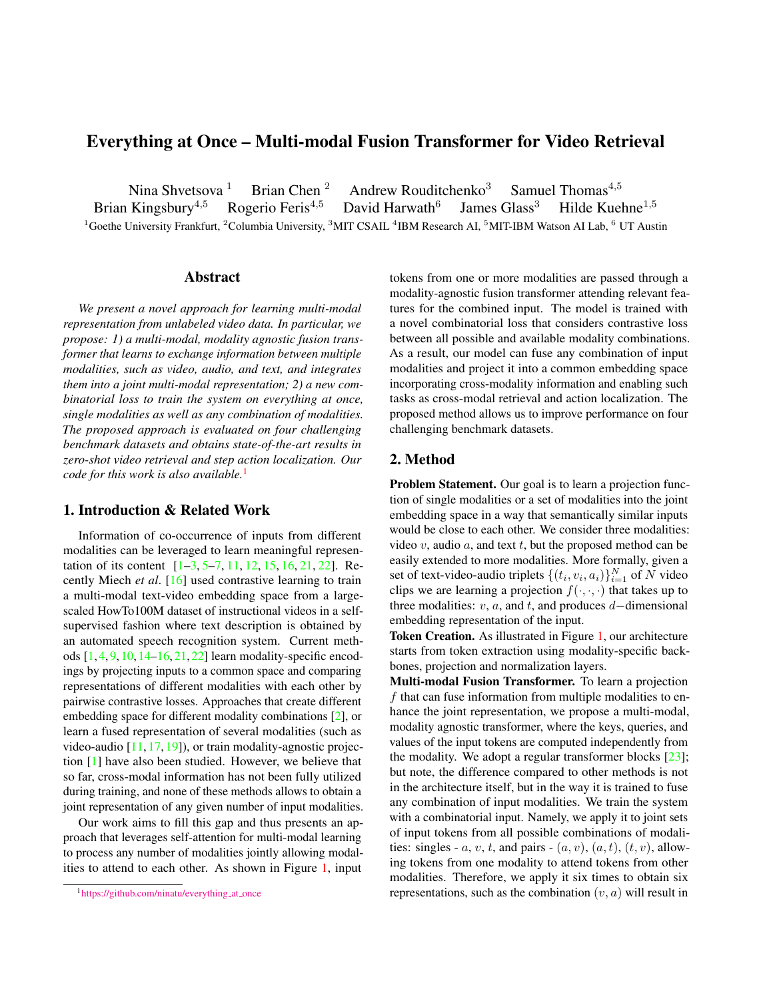# <span id="page-0-1"></span>Everything at Once – Multi-modal Fusion Transformer for Video Retrieval

Nina Shvetsova <sup>1</sup> Brian Chen <sup>2</sup> Andrew Rouditchenko<sup>3</sup> Samuel Thomas<sup>4,5</sup> Kingsbury<sup>4,5</sup> Rogerio Feris<sup>4,5</sup> David Harwath<sup>6</sup> James Glass<sup>3</sup> Hilde Kuel Brian Kingsbury<sup>4,5</sup> David Harwath<sup>6</sup> James Glass<sup>3</sup> Hilde Kuehne<sup>1,5</sup> <sup>1</sup>Goethe University Frankfurt, <sup>2</sup>Columbia University, <sup>3</sup>MIT CSAIL <sup>4</sup>IBM Research AI, <sup>5</sup>MIT-IBM Watson AI Lab, <sup>6</sup> UT Austin

# Abstract

*We present a novel approach for learning multi-modal representation from unlabeled video data. In particular, we propose: 1) a multi-modal, modality agnostic fusion transformer that learns to exchange information between multiple modalities, such as video, audio, and text, and integrates them into a joint multi-modal representation; 2) a new combinatorial loss to train the system on everything at once, single modalities as well as any combination of modalities. The proposed approach is evaluated on four challenging benchmark datasets and obtains state-of-the-art results in zero-shot video retrieval and step action localization. Our code for this work is also available.*[1](#page-0-0)

#### 1. Introduction & Related Work

Information of co-occurrence of inputs from different modalities can be leveraged to learn meaningful representation of its content [\[1–](#page-2-0)[3,](#page-2-1) [5](#page-2-2)[–7,](#page-2-3) [11,](#page-2-4) [12,](#page-2-5) [15,](#page-2-6) [16,](#page-2-7) [21,](#page-2-8) [22\]](#page-2-9). Recently Miech *et al*. [\[16\]](#page-2-7) used contrastive learning to train a multi-modal text-video embedding space from a largescaled HowTo100M dataset of instructional videos in a selfsupervised fashion where text description is obtained by an automated speech recognition system. Current methods  $[1, 4, 9, 10, 14–16, 21, 22]$  $[1, 4, 9, 10, 14–16, 21, 22]$  $[1, 4, 9, 10, 14–16, 21, 22]$  $[1, 4, 9, 10, 14–16, 21, 22]$  $[1, 4, 9, 10, 14–16, 21, 22]$  $[1, 4, 9, 10, 14–16, 21, 22]$  $[1, 4, 9, 10, 14–16, 21, 22]$  $[1, 4, 9, 10, 14–16, 21, 22]$  $[1, 4, 9, 10, 14–16, 21, 22]$  $[1, 4, 9, 10, 14–16, 21, 22]$  $[1, 4, 9, 10, 14–16, 21, 22]$  $[1, 4, 9, 10, 14–16, 21, 22]$  $[1, 4, 9, 10, 14–16, 21, 22]$  $[1, 4, 9, 10, 14–16, 21, 22]$  learn modality-specific encodings by projecting inputs to a common space and comparing representations of different modalities with each other by pairwise contrastive losses. Approaches that create different embedding space for different modality combinations [\[2\]](#page-2-14), or learn a fused representation of several modalities (such as video-audio  $[11, 17, 19]$  $[11, 17, 19]$  $[11, 17, 19]$  $[11, 17, 19]$  $[11, 17, 19]$ ), or train modality-agnostic projection [\[1\]](#page-2-0) have also been studied. However, we believe that so far, cross-modal information has not been fully utilized during training, and none of these methods allows to obtain a joint representation of any given number of input modalities.

Our work aims to fill this gap and thus presents an approach that leverages self-attention for multi-modal learning to process any number of modalities jointly allowing modalities to attend to each other. As shown in Figure [1,](#page-1-0) input tokens from one or more modalities are passed through a modality-agnostic fusion transformer attending relevant features for the combined input. The model is trained with a novel combinatorial loss that considers contrastive loss between all possible and available modality combinations. As a result, our model can fuse any combination of input modalities and project it into a common embedding space incorporating cross-modality information and enabling such tasks as cross-modal retrieval and action localization. The proposed method allows us to improve performance on four challenging benchmark datasets.

### 2. Method

**Problem Statement.** Our goal is to learn a projection function of single modalities or a set of modalities into the joint embedding space in a way that semantically similar inputs would be close to each other. We consider three modalities: video  $v$ , audio  $a$ , and text  $t$ , but the proposed method can be easily extended to more modalities. More formally, given a set of text-video-audio triplets  $\{(t_i, v_i, a_i)\}_{i=1}^N$  of N video clips we are learning a projection  $f(\cdot, \cdot, \cdot)$  that takes up to three modalities:  $v$ ,  $a$ , and  $t$ , and produces  $d$ −dimensional embedding representation of the input.

Token Creation. As illustrated in Figure [1,](#page-1-0) our architecture starts from token extraction using modality-specific backbones, projection and normalization layers.

Multi-modal Fusion Transformer. To learn a projection  $f$  that can fuse information from multiple modalities to enhance the joint representation, we propose a multi-modal, modality agnostic transformer, where the keys, queries, and values of the input tokens are computed independently from the modality. We adopt a regular transformer blocks  $[23]$ ; but note, the difference compared to other methods is not in the architecture itself, but in the way it is trained to fuse any combination of input modalities. We train the system with a combinatorial input. Namely, we apply it to joint sets of input tokens from all possible combinations of modalities: singles - a, v, t, and pairs -  $(a, v)$ ,  $(a, t)$ ,  $(t, v)$ , allowing tokens from one modality to attend tokens from other modalities. Therefore, we apply it six times to obtain six representations, such as the combination  $(v, a)$  will result in

<span id="page-0-0"></span><sup>&</sup>lt;sup>1</sup>[https://github.com/ninatu/everything](https://github.com/ninatu/everything_at_once)\_at\_once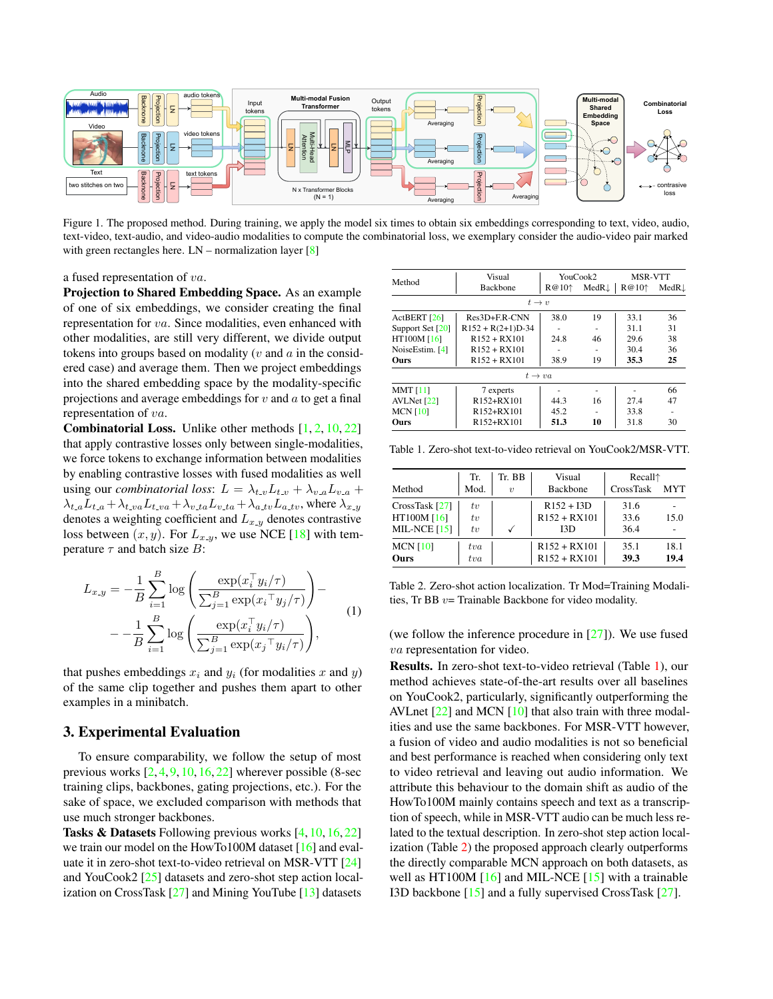<span id="page-1-3"></span><span id="page-1-0"></span>

Figure 1. The proposed method. During training, we apply the model six times to obtain six embeddings corresponding to text, video, audio, text-video, text-audio, and video-audio modalities to compute the combinatorial loss, we exemplary consider the audio-video pair marked with green rectangles here. LN – normalization layer [\[8\]](#page-2-18)

a fused representation of va.

Projection to Shared Embedding Space. As an example of one of six embeddings, we consider creating the final representation for va. Since modalities, even enhanced with other modalities, are still very different, we divide output tokens into groups based on modality ( $v$  and  $a$  in the considered case) and average them. Then we project embeddings into the shared embedding space by the modality-specific projections and average embeddings for  $v$  and  $a$  to get a final representation of va.

**Combinatorial Loss.** Unlike other methods  $[1, 2, 10, 22]$  $[1, 2, 10, 22]$  $[1, 2, 10, 22]$  $[1, 2, 10, 22]$  $[1, 2, 10, 22]$  $[1, 2, 10, 22]$  $[1, 2, 10, 22]$ that apply contrastive losses only between single-modalities, we force tokens to exchange information between modalities by enabling contrastive losses with fused modalities as well using our *combinatorial loss*:  $L = \lambda_{t,v} L_{t,v} + \lambda_{v,a} L_{v,a} +$  $\lambda_{t,a}L_{t,a}+\lambda_{t,va}L_{t,va}+\lambda_{v,ta}L_{v,ta}+\lambda_{a,tv}L_{a,tv}$ , where  $\lambda_{x,y}$ denotes a weighting coefficient and  $L_{x,y}$  denotes contrastive loss between  $(x, y)$ . For  $L_{x,y}$ , we use NCE [\[18\]](#page-2-19) with temperature  $\tau$  and batch size  $B$ :

$$
L_{x,y} = -\frac{1}{B} \sum_{i=1}^{B} \log \left( \frac{\exp(x_i^{\top} y_i/\tau)}{\sum_{j=1}^{B} \exp(x_i^{\top} y_j/\tau)} \right) - -\frac{1}{B} \sum_{i=1}^{B} \log \left( \frac{\exp(x_i^{\top} y_i/\tau)}{\sum_{j=1}^{B} \exp(x_j^{\top} y_i/\tau)} \right),
$$
(1)

that pushes embeddings  $x_i$  and  $y_i$  (for modalities x and y) of the same clip together and pushes them apart to other examples in a minibatch.

#### 3. Experimental Evaluation

To ensure comparability, we follow the setup of most previous works [\[2,](#page-2-14) [4,](#page-2-10) [9,](#page-2-11) [10,](#page-2-12) [16,](#page-2-7) [22\]](#page-2-9) wherever possible (8-sec training clips, backbones, gating projections, etc.). For the sake of space, we excluded comparison with methods that use much stronger backbones.

Tasks & Datasets Following previous works [\[4,](#page-2-10) [10,](#page-2-12) [16,](#page-2-7) [22\]](#page-2-9) we train our model on the HowTo100M dataset [\[16\]](#page-2-7) and evaluate it in zero-shot text-to-video retrieval on MSR-VTT [\[24\]](#page-2-20) and YouCook2 [\[25\]](#page-2-21) datasets and zero-shot step action localization on CrossTask [\[27\]](#page-3-0) and Mining YouTube [\[13\]](#page-2-22) datasets

<span id="page-1-1"></span>

|                   | Visual                              | YouCook2 |                   | MSR-VTT  |        |  |  |  |  |  |
|-------------------|-------------------------------------|----------|-------------------|----------|--------|--|--|--|--|--|
| Method            | <b>Backbone</b>                     | $R@10^+$ | $MedR \downarrow$ | $R@10^+$ | MedR.L |  |  |  |  |  |
| $t \rightarrow v$ |                                     |          |                   |          |        |  |  |  |  |  |
| ActBERT [26]      | $Res3D + ER-CNN$                    | 38.0     | 19                | 33.1     | 36     |  |  |  |  |  |
| Support Set [20]  | $R152 + R(2+1)D-34$                 | ۰        |                   | 31.1     | 31     |  |  |  |  |  |
| HT100M [16]       | $R152 + RX101$                      | 24.8     | 46                | 29.6     | 38     |  |  |  |  |  |
| NoiseEstim. [4]   | $R152 + RX101$                      |          |                   | 30.4     | 36     |  |  |  |  |  |
| Ours              | $R152 + RX101$                      | 38.9     | 19                | 35.3     | 25     |  |  |  |  |  |
|                   | $t\rightarrow va$                   |          |                   |          |        |  |  |  |  |  |
| MMT[11]           | 7 experts                           |          |                   |          | 66     |  |  |  |  |  |
| AVLNet $[22]$     | R <sub>152+R</sub> X <sub>101</sub> | 44.3     | 16                | 27.4     | 47     |  |  |  |  |  |
| MCN $[10]$        | R152+RX101                          | 45.2     | -                 | 33.8     |        |  |  |  |  |  |
| Ours              | R152+RX101                          | 51.3     | 10                | 31.8     | 30     |  |  |  |  |  |

Table 1. Zero-shot text-to-video retrieval on YouCook2/MSR-VTT.

<span id="page-1-2"></span>

|                 | Tr.      | Tr. BB           | Visual          | Recall <sub>1</sub> |            |
|-----------------|----------|------------------|-----------------|---------------------|------------|
| Method          | Mod.     | $\boldsymbol{v}$ | <b>Backbone</b> | CrossTask           | <b>MYT</b> |
| CrossTask [27]  | $t_{v}$  |                  | $R152 + I3D$    | 31.6                |            |
| HT100M [16]     | $t_{v}$  |                  | $R152 + RX101$  | 33.6                | 15.0       |
| MIL-NCE $[15]$  | $t_{v}$  |                  | I3D             | 36.4                |            |
| <b>MCN [10]</b> | $_{tva}$ |                  | $R152 + RX101$  | 35.1                | 18.1       |
| <b>Ours</b>     | $_{tva}$ |                  | $R152 + RX101$  | 39.3                | 19.4       |

Table 2. Zero-shot action localization. Tr Mod=Training Modalities, Tr BB  $v=$  Trainable Backbone for video modality.

(we follow the inference procedure in  $[27]$ ). We use fused va representation for video.

Results. In zero-shot text-to-video retrieval (Table [1\)](#page-1-1), our method achieves state-of-the-art results over all baselines on YouCook2, particularly, significantly outperforming the AVLnet  $[22]$  and MCN  $[10]$  that also train with three modalities and use the same backbones. For MSR-VTT however, a fusion of video and audio modalities is not so beneficial and best performance is reached when considering only text to video retrieval and leaving out audio information. We attribute this behaviour to the domain shift as audio of the HowTo100M mainly contains speech and text as a transcription of speech, while in MSR-VTT audio can be much less related to the textual description. In zero-shot step action localization (Table [2\)](#page-1-2) the proposed approach clearly outperforms the directly comparable MCN approach on both datasets, as well as HT100M [\[16\]](#page-2-7) and MIL-NCE [\[15\]](#page-2-6) with a trainable I3D backbone [\[15\]](#page-2-6) and a fully supervised CrossTask [\[27\]](#page-3-0).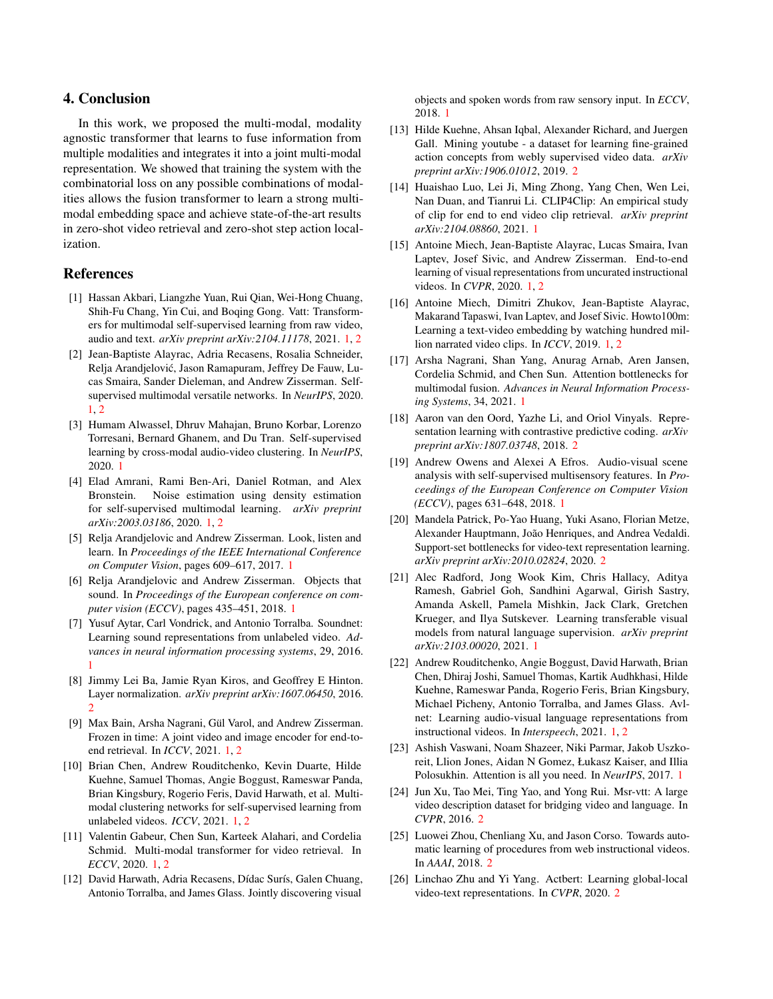# 4. Conclusion

In this work, we proposed the multi-modal, modality agnostic transformer that learns to fuse information from multiple modalities and integrates it into a joint multi-modal representation. We showed that training the system with the combinatorial loss on any possible combinations of modalities allows the fusion transformer to learn a strong multimodal embedding space and achieve state-of-the-art results in zero-shot video retrieval and zero-shot step action localization.

## References

- <span id="page-2-0"></span>[1] Hassan Akbari, Liangzhe Yuan, Rui Qian, Wei-Hong Chuang, Shih-Fu Chang, Yin Cui, and Boqing Gong. Vatt: Transformers for multimodal self-supervised learning from raw video, audio and text. *arXiv preprint arXiv:2104.11178*, 2021. [1,](#page-0-1) [2](#page-1-3)
- <span id="page-2-14"></span>[2] Jean-Baptiste Alayrac, Adria Recasens, Rosalia Schneider, Relja Arandjelovic, Jason Ramapuram, Jeffrey De Fauw, Lu- ´ cas Smaira, Sander Dieleman, and Andrew Zisserman. Selfsupervised multimodal versatile networks. In *NeurIPS*, 2020. [1,](#page-0-1) [2](#page-1-3)
- <span id="page-2-1"></span>[3] Humam Alwassel, Dhruv Mahajan, Bruno Korbar, Lorenzo Torresani, Bernard Ghanem, and Du Tran. Self-supervised learning by cross-modal audio-video clustering. In *NeurIPS*, 2020. [1](#page-0-1)
- <span id="page-2-10"></span>[4] Elad Amrani, Rami Ben-Ari, Daniel Rotman, and Alex Bronstein. Noise estimation using density estimation for self-supervised multimodal learning. *arXiv preprint arXiv:2003.03186*, 2020. [1,](#page-0-1) [2](#page-1-3)
- <span id="page-2-2"></span>[5] Relja Arandjelovic and Andrew Zisserman. Look, listen and learn. In *Proceedings of the IEEE International Conference on Computer Vision*, pages 609–617, 2017. [1](#page-0-1)
- [6] Relja Arandjelovic and Andrew Zisserman. Objects that sound. In *Proceedings of the European conference on computer vision (ECCV)*, pages 435–451, 2018. [1](#page-0-1)
- <span id="page-2-3"></span>[7] Yusuf Aytar, Carl Vondrick, and Antonio Torralba. Soundnet: Learning sound representations from unlabeled video. *Advances in neural information processing systems*, 29, 2016. [1](#page-0-1)
- <span id="page-2-18"></span>[8] Jimmy Lei Ba, Jamie Ryan Kiros, and Geoffrey E Hinton. Layer normalization. *arXiv preprint arXiv:1607.06450*, 2016. [2](#page-1-3)
- <span id="page-2-11"></span>[9] Max Bain, Arsha Nagrani, Gül Varol, and Andrew Zisserman. Frozen in time: A joint video and image encoder for end-toend retrieval. In *ICCV*, 2021. [1,](#page-0-1) [2](#page-1-3)
- <span id="page-2-12"></span>[10] Brian Chen, Andrew Rouditchenko, Kevin Duarte, Hilde Kuehne, Samuel Thomas, Angie Boggust, Rameswar Panda, Brian Kingsbury, Rogerio Feris, David Harwath, et al. Multimodal clustering networks for self-supervised learning from unlabeled videos. *ICCV*, 2021. [1,](#page-0-1) [2](#page-1-3)
- <span id="page-2-4"></span>[11] Valentin Gabeur, Chen Sun, Karteek Alahari, and Cordelia Schmid. Multi-modal transformer for video retrieval. In *ECCV*, 2020. [1,](#page-0-1) [2](#page-1-3)
- <span id="page-2-5"></span>[12] David Harwath, Adria Recasens, Dídac Surís, Galen Chuang, Antonio Torralba, and James Glass. Jointly discovering visual

objects and spoken words from raw sensory input. In *ECCV*, 2018. [1](#page-0-1)

- <span id="page-2-22"></span>[13] Hilde Kuehne, Ahsan Iqbal, Alexander Richard, and Juergen Gall. Mining youtube - a dataset for learning fine-grained action concepts from webly supervised video data. *arXiv preprint arXiv:1906.01012*, 2019. [2](#page-1-3)
- <span id="page-2-13"></span>[14] Huaishao Luo, Lei Ji, Ming Zhong, Yang Chen, Wen Lei, Nan Duan, and Tianrui Li. CLIP4Clip: An empirical study of clip for end to end video clip retrieval. *arXiv preprint arXiv:2104.08860*, 2021. [1](#page-0-1)
- <span id="page-2-6"></span>[15] Antoine Miech, Jean-Baptiste Alayrac, Lucas Smaira, Ivan Laptev, Josef Sivic, and Andrew Zisserman. End-to-end learning of visual representations from uncurated instructional videos. In *CVPR*, 2020. [1,](#page-0-1) [2](#page-1-3)
- <span id="page-2-7"></span>[16] Antoine Miech, Dimitri Zhukov, Jean-Baptiste Alayrac, Makarand Tapaswi, Ivan Laptev, and Josef Sivic. Howto100m: Learning a text-video embedding by watching hundred million narrated video clips. In *ICCV*, 2019. [1,](#page-0-1) [2](#page-1-3)
- <span id="page-2-15"></span>[17] Arsha Nagrani, Shan Yang, Anurag Arnab, Aren Jansen, Cordelia Schmid, and Chen Sun. Attention bottlenecks for multimodal fusion. *Advances in Neural Information Processing Systems*, 34, 2021. [1](#page-0-1)
- <span id="page-2-19"></span>[18] Aaron van den Oord, Yazhe Li, and Oriol Vinyals. Representation learning with contrastive predictive coding. *arXiv preprint arXiv:1807.03748*, 2018. [2](#page-1-3)
- <span id="page-2-16"></span>[19] Andrew Owens and Alexei A Efros. Audio-visual scene analysis with self-supervised multisensory features. In *Proceedings of the European Conference on Computer Vision (ECCV)*, pages 631–648, 2018. [1](#page-0-1)
- <span id="page-2-24"></span>[20] Mandela Patrick, Po-Yao Huang, Yuki Asano, Florian Metze, Alexander Hauptmann, João Henriques, and Andrea Vedaldi. Support-set bottlenecks for video-text representation learning. *arXiv preprint arXiv:2010.02824*, 2020. [2](#page-1-3)
- <span id="page-2-8"></span>[21] Alec Radford, Jong Wook Kim, Chris Hallacy, Aditya Ramesh, Gabriel Goh, Sandhini Agarwal, Girish Sastry, Amanda Askell, Pamela Mishkin, Jack Clark, Gretchen Krueger, and Ilya Sutskever. Learning transferable visual models from natural language supervision. *arXiv preprint arXiv:2103.00020*, 2021. [1](#page-0-1)
- <span id="page-2-9"></span>[22] Andrew Rouditchenko, Angie Boggust, David Harwath, Brian Chen, Dhiraj Joshi, Samuel Thomas, Kartik Audhkhasi, Hilde Kuehne, Rameswar Panda, Rogerio Feris, Brian Kingsbury, Michael Picheny, Antonio Torralba, and James Glass. Avlnet: Learning audio-visual language representations from instructional videos. In *Interspeech*, 2021. [1,](#page-0-1) [2](#page-1-3)
- <span id="page-2-17"></span>[23] Ashish Vaswani, Noam Shazeer, Niki Parmar, Jakob Uszkoreit, Llion Jones, Aidan N Gomez, Łukasz Kaiser, and Illia Polosukhin. Attention is all you need. In *NeurIPS*, 2017. [1](#page-0-1)
- <span id="page-2-20"></span>[24] Jun Xu, Tao Mei, Ting Yao, and Yong Rui. Msr-vtt: A large video description dataset for bridging video and language. In *CVPR*, 2016. [2](#page-1-3)
- <span id="page-2-21"></span>[25] Luowei Zhou, Chenliang Xu, and Jason Corso. Towards automatic learning of procedures from web instructional videos. In *AAAI*, 2018. [2](#page-1-3)
- <span id="page-2-23"></span>[26] Linchao Zhu and Yi Yang. Actbert: Learning global-local video-text representations. In *CVPR*, 2020. [2](#page-1-3)